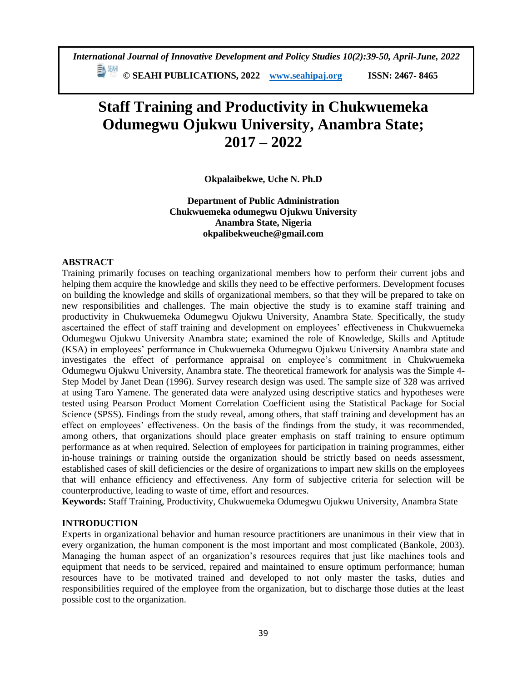*International Journal of Innovative Development and Policy Studies 10(2):39-50, April-June, 2022*

**© SEAHI PUBLICATIONS, 2022 [www.seahipaj.org](http://www.seahipaj.org/) ISSN: 2467- 8465**

# **Staff Training and Productivity in Chukwuemeka Odumegwu Ojukwu University, Anambra State; 2017 – 2022**

**Okpalaibekwe, Uche N. Ph.D**

**Department of Public Administration Chukwuemeka odumegwu Ojukwu University Anambra State, Nigeria okpalibekweuche@gmail.com**

## **ABSTRACT**

Training primarily focuses on teaching organizational members how to perform their current jobs and helping them acquire the knowledge and skills they need to be effective performers. Development focuses on building the knowledge and skills of organizational members, so that they will be prepared to take on new responsibilities and challenges. The main objective the study is to examine staff training and productivity in Chukwuemeka Odumegwu Ojukwu University, Anambra State. Specifically, the study ascertained the effect of staff training and development on employees' effectiveness in Chukwuemeka Odumegwu Ojukwu University Anambra state; examined the role of Knowledge, Skills and Aptitude (KSA) in employees' performance in Chukwuemeka Odumegwu Ojukwu University Anambra state and investigates the effect of performance appraisal on employee's commitment in Chukwuemeka Odumegwu Ojukwu University, Anambra state. The theoretical framework for analysis was the Simple 4- Step Model by Janet Dean (1996). Survey research design was used. The sample size of 328 was arrived at using Taro Yamene. The generated data were analyzed using descriptive statics and hypotheses were tested using Pearson Product Moment Correlation Coefficient using the Statistical Package for Social Science (SPSS). Findings from the study reveal, among others, that staff training and development has an effect on employees' effectiveness. On the basis of the findings from the study, it was recommended, among others, that organizations should place greater emphasis on staff training to ensure optimum performance as at when required. Selection of employees for participation in training programmes, either in-house trainings or training outside the organization should be strictly based on needs assessment, established cases of skill deficiencies or the desire of organizations to impart new skills on the employees that will enhance efficiency and effectiveness. Any form of subjective criteria for selection will be counterproductive, leading to waste of time, effort and resources.

**Keywords:** Staff Training, Productivity, Chukwuemeka Odumegwu Ojukwu University, Anambra State

## **INTRODUCTION**

Experts in organizational behavior and human resource practitioners are unanimous in their view that in every organization, the human component is the most important and most complicated (Bankole, 2003). Managing the human aspect of an organization's resources requires that just like machines tools and equipment that needs to be serviced, repaired and maintained to ensure optimum performance; human resources have to be motivated trained and developed to not only master the tasks, duties and responsibilities required of the employee from the organization, but to discharge those duties at the least possible cost to the organization.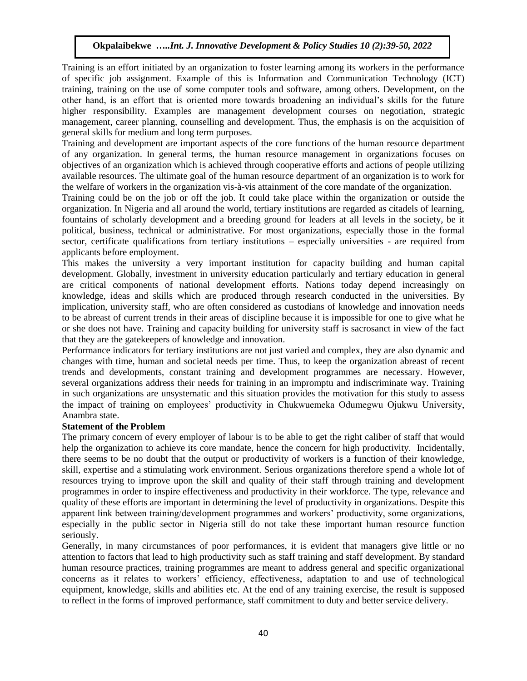Training is an effort initiated by an organization to foster learning among its workers in the performance of specific job assignment. Example of this is Information and Communication Technology (ICT) training, training on the use of some computer tools and software, among others. Development, on the other hand, is an effort that is oriented more towards broadening an individual's skills for the future higher responsibility. Examples are management development courses on negotiation, strategic management, career planning, counselling and development. Thus, the emphasis is on the acquisition of general skills for medium and long term purposes.

Training and development are important aspects of the core functions of the human resource department of any organization. In general terms, the human resource management in organizations focuses on objectives of an organization which is achieved through cooperative efforts and actions of people utilizing available resources. The ultimate goal of the human resource department of an organization is to work for the welfare of workers in the organization vis-à-vis attainment of the core mandate of the organization.

Training could be on the job or off the job. It could take place within the organization or outside the organization. In Nigeria and all around the world, tertiary institutions are regarded as citadels of learning, fountains of scholarly development and a breeding ground for leaders at all levels in the society, be it political, business, technical or administrative. For most organizations, especially those in the formal sector, certificate qualifications from tertiary institutions – especially universities - are required from applicants before employment.

This makes the university a very important institution for capacity building and human capital development. Globally, investment in university education particularly and tertiary education in general are critical components of national development efforts. Nations today depend increasingly on knowledge, ideas and skills which are produced through research conducted in the universities. By implication, university staff, who are often considered as custodians of knowledge and innovation needs to be abreast of current trends in their areas of discipline because it is impossible for one to give what he or she does not have. Training and capacity building for university staff is sacrosanct in view of the fact that they are the gatekeepers of knowledge and innovation.

Performance indicators for tertiary institutions are not just varied and complex, they are also dynamic and changes with time, human and societal needs per time. Thus, to keep the organization abreast of recent trends and developments, constant training and development programmes are necessary. However, several organizations address their needs for training in an impromptu and indiscriminate way. Training in such organizations are unsystematic and this situation provides the motivation for this study to assess the impact of training on employees' productivity in Chukwuemeka Odumegwu Ojukwu University, Anambra state.

#### **Statement of the Problem**

The primary concern of every employer of labour is to be able to get the right caliber of staff that would help the organization to achieve its core mandate, hence the concern for high productivity. Incidentally, there seems to be no doubt that the output or productivity of workers is a function of their knowledge, skill, expertise and a stimulating work environment. Serious organizations therefore spend a whole lot of resources trying to improve upon the skill and quality of their staff through training and development programmes in order to inspire effectiveness and productivity in their workforce. The type, relevance and quality of these efforts are important in determining the level of productivity in organizations. Despite this apparent link between training/development programmes and workers' productivity, some organizations, especially in the public sector in Nigeria still do not take these important human resource function seriously.

Generally, in many circumstances of poor performances, it is evident that managers give little or no attention to factors that lead to high productivity such as staff training and staff development. By standard human resource practices, training programmes are meant to address general and specific organizational concerns as it relates to workers' efficiency, effectiveness, adaptation to and use of technological equipment, knowledge, skills and abilities etc. At the end of any training exercise, the result is supposed to reflect in the forms of improved performance, staff commitment to duty and better service delivery.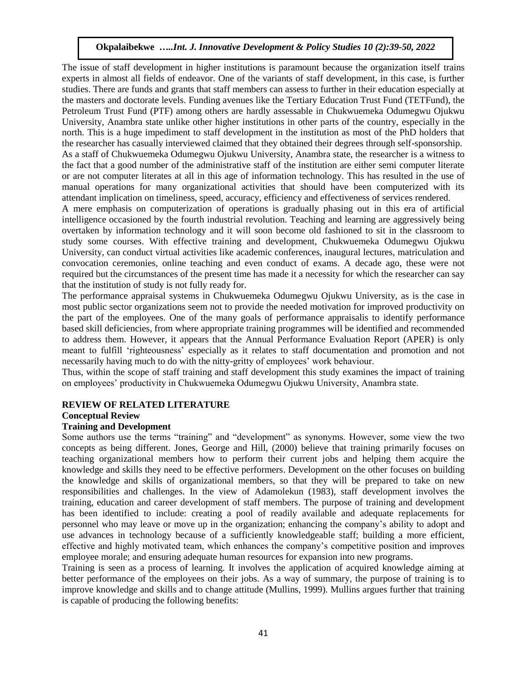The issue of staff development in higher institutions is paramount because the organization itself trains experts in almost all fields of endeavor. One of the variants of staff development, in this case, is further studies. There are funds and grants that staff members can assess to further in their education especially at the masters and doctorate levels. Funding avenues like the Tertiary Education Trust Fund (TETFund), the Petroleum Trust Fund (PTF) among others are hardly assessable in Chukwuemeka Odumegwu Ojukwu University, Anambra state unlike other higher institutions in other parts of the country, especially in the north. This is a huge impediment to staff development in the institution as most of the PhD holders that the researcher has casually interviewed claimed that they obtained their degrees through self-sponsorship. As a staff of Chukwuemeka Odumegwu Ojukwu University, Anambra state, the researcher is a witness to the fact that a good number of the administrative staff of the institution are either semi computer literate or are not computer literates at all in this age of information technology. This has resulted in the use of manual operations for many organizational activities that should have been computerized with its attendant implication on timeliness, speed, accuracy, efficiency and effectiveness of services rendered.

A mere emphasis on computerization of operations is gradually phasing out in this era of artificial intelligence occasioned by the fourth industrial revolution. Teaching and learning are aggressively being overtaken by information technology and it will soon become old fashioned to sit in the classroom to study some courses. With effective training and development, Chukwuemeka Odumegwu Ojukwu University, can conduct virtual activities like academic conferences, inaugural lectures, matriculation and convocation ceremonies, online teaching and even conduct of exams. A decade ago, these were not required but the circumstances of the present time has made it a necessity for which the researcher can say that the institution of study is not fully ready for.

The performance appraisal systems in Chukwuemeka Odumegwu Ojukwu University, as is the case in most public sector organizations seem not to provide the needed motivation for improved productivity on the part of the employees. One of the many goals of performance appraisalis to identify performance based skill deficiencies, from where appropriate training programmes will be identified and recommended to address them. However, it appears that the Annual Performance Evaluation Report (APER) is only meant to fulfill 'righteousness' especially as it relates to staff documentation and promotion and not necessarily having much to do with the nitty-gritty of employees' work behaviour.

Thus, within the scope of staff training and staff development this study examines the impact of training on employees' productivity in Chukwuemeka Odumegwu Ojukwu University, Anambra state.

# **REVIEW OF RELATED LITERATURE**

## **Conceptual Review**

## **Training and Development**

Some authors use the terms "training" and "development" as synonyms. However, some view the two concepts as being different. Jones, George and Hill, (2000) believe that training primarily focuses on teaching organizational members how to perform their current jobs and helping them acquire the knowledge and skills they need to be effective performers. Development on the other focuses on building the knowledge and skills of organizational members, so that they will be prepared to take on new responsibilities and challenges. In the view of Adamolekun (1983), staff development involves the training, education and career development of staff members. The purpose of training and development has been identified to include: creating a pool of readily available and adequate replacements for personnel who may leave or move up in the organization; enhancing the company's ability to adopt and use advances in technology because of a sufficiently knowledgeable staff; building a more efficient, effective and highly motivated team, which enhances the company's competitive position and improves employee morale; and ensuring adequate human resources for expansion into new programs.

Training is seen as a process of learning. It involves the application of acquired knowledge aiming at better performance of the employees on their jobs. As a way of summary, the purpose of training is to improve knowledge and skills and to change attitude (Mullins, 1999). Mullins argues further that training is capable of producing the following benefits: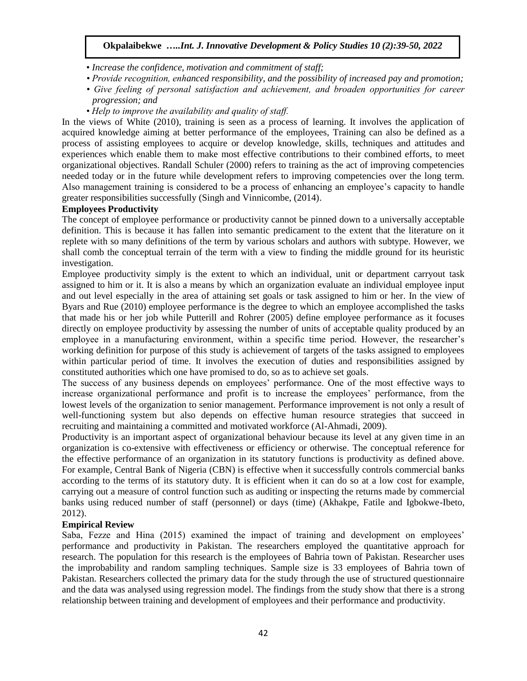- *Increase the confidence, motivation and commitment of staff;*
- *Provide recognition, enhanced responsibility, and the possibility of increased pay and promotion;*
- *Give feeling of personal satisfaction and achievement, and broaden opportunities for career progression; and*
- *Help to improve the availability and quality of staff.*

In the views of White (2010), training is seen as a process of learning. It involves the application of acquired knowledge aiming at better performance of the employees, Training can also be defined as a process of assisting employees to acquire or develop knowledge, skills, techniques and attitudes and experiences which enable them to make most effective contributions to their combined efforts, to meet organizational objectives. Randall Schuler (2000) refers to training as the act of improving competencies needed today or in the future while development refers to improving competencies over the long term. Also management training is considered to be a process of enhancing an employee's capacity to handle greater responsibilities successfully (Singh and Vinnicombe, (2014).

## **Employees Productivity**

The concept of employee performance or productivity cannot be pinned down to a universally acceptable definition. This is because it has fallen into semantic predicament to the extent that the literature on it replete with so many definitions of the term by various scholars and authors with subtype. However, we shall comb the conceptual terrain of the term with a view to finding the middle ground for its heuristic investigation.

Employee productivity simply is the extent to which an individual, unit or department carryout task assigned to him or it. It is also a means by which an organization evaluate an individual employee input and out level especially in the area of attaining set goals or task assigned to him or her. In the view of Byars and Rue (2010) employee performance is the degree to which an employee accomplished the tasks that made his or her job while Putterill and Rohrer (2005) define employee performance as it focuses directly on employee productivity by assessing the number of units of acceptable quality produced by an employee in a manufacturing environment, within a specific time period. However, the researcher's working definition for purpose of this study is achievement of targets of the tasks assigned to employees within particular period of time. It involves the execution of duties and responsibilities assigned by constituted authorities which one have promised to do, so as to achieve set goals.

The success of any business depends on employees' performance. One of the most effective ways to increase organizational performance and profit is to increase the employees' performance, from the lowest levels of the organization to senior management. Performance improvement is not only a result of well-functioning system but also depends on effective human resource strategies that succeed in recruiting and maintaining a committed and motivated workforce (Al-Ahmadi, 2009).

Productivity is an important aspect of organizational behaviour because its level at any given time in an organization is co-extensive with effectiveness or efficiency or otherwise. The conceptual reference for the effective performance of an organization in its statutory functions is productivity as defined above. For example, Central Bank of Nigeria (CBN) is effective when it successfully controls commercial banks according to the terms of its statutory duty. It is efficient when it can do so at a low cost for example, carrying out a measure of control function such as auditing or inspecting the returns made by commercial banks using reduced number of staff (personnel) or days (time) (Akhakpe, Fatile and Igbokwe-Ibeto, 2012).

#### **Empirical Review**

Saba, Fezze and Hina (2015) examined the impact of training and development on employees' performance and productivity in Pakistan. The researchers employed the quantitative approach for research. The population for this research is the employees of Bahria town of Pakistan. Researcher uses the improbability and random sampling techniques. Sample size is 33 employees of Bahria town of Pakistan. Researchers collected the primary data for the study through the use of structured questionnaire and the data was analysed using regression model. The findings from the study show that there is a strong relationship between training and development of employees and their performance and productivity.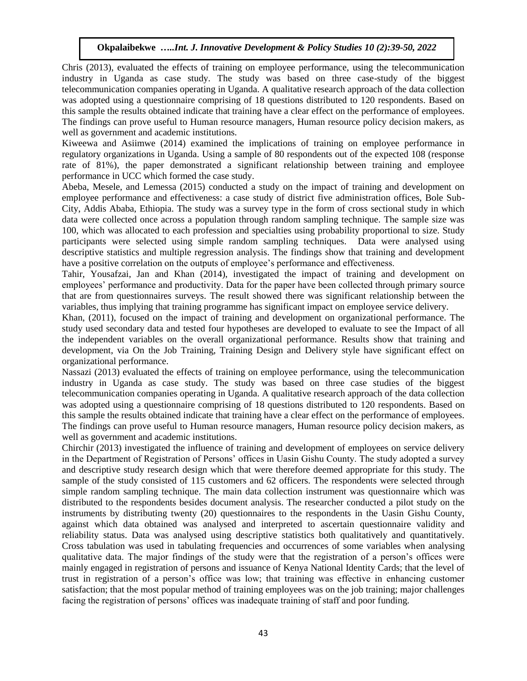Chris (2013), evaluated the effects of training on employee performance, using the telecommunication industry in Uganda as case study. The study was based on three case-study of the biggest telecommunication companies operating in Uganda. A qualitative research approach of the data collection was adopted using a questionnaire comprising of 18 questions distributed to 120 respondents. Based on this sample the results obtained indicate that training have a clear effect on the performance of employees. The findings can prove useful to Human resource managers, Human resource policy decision makers, as well as government and academic institutions.

Kiweewa and Asiimwe (2014) examined the implications of training on employee performance in regulatory organizations in Uganda. Using a sample of 80 respondents out of the expected 108 (response rate of 81%), the paper demonstrated a significant relationship between training and employee performance in UCC which formed the case study.

Abeba, Mesele, and Lemessa (2015) conducted a study on the impact of training and development on employee performance and effectiveness: a case study of district five administration offices, Bole Sub-City, Addis Ababa, Ethiopia. The study was a survey type in the form of cross sectional study in which data were collected once across a population through random sampling technique. The sample size was 100, which was allocated to each profession and specialties using probability proportional to size. Study participants were selected using simple random sampling techniques. Data were analysed using descriptive statistics and multiple regression analysis. The findings show that training and development have a positive correlation on the outputs of employee's performance and effectiveness.

Tahir, Yousafzai, Jan and Khan (2014), investigated the impact of training and development on employees' performance and productivity. Data for the paper have been collected through primary source that are from questionnaires surveys. The result showed there was significant relationship between the variables, thus implying that training programme has significant impact on employee service delivery.

Khan, (2011), focused on the impact of training and development on organizational performance. The study used secondary data and tested four hypotheses are developed to evaluate to see the Impact of all the independent variables on the overall organizational performance. Results show that training and development, via On the Job Training, Training Design and Delivery style have significant effect on organizational performance.

Nassazi (2013) evaluated the effects of training on employee performance, using the telecommunication industry in Uganda as case study. The study was based on three case studies of the biggest telecommunication companies operating in Uganda. A qualitative research approach of the data collection was adopted using a questionnaire comprising of 18 questions distributed to 120 respondents. Based on this sample the results obtained indicate that training have a clear effect on the performance of employees. The findings can prove useful to Human resource managers, Human resource policy decision makers, as well as government and academic institutions.

Chirchir (2013) investigated the influence of training and development of employees on service delivery in the Department of Registration of Persons' offices in Uasin Gishu County. The study adopted a survey and descriptive study research design which that were therefore deemed appropriate for this study. The sample of the study consisted of 115 customers and 62 officers. The respondents were selected through simple random sampling technique. The main data collection instrument was questionnaire which was distributed to the respondents besides document analysis. The researcher conducted a pilot study on the instruments by distributing twenty (20) questionnaires to the respondents in the Uasin Gishu County, against which data obtained was analysed and interpreted to ascertain questionnaire validity and reliability status. Data was analysed using descriptive statistics both qualitatively and quantitatively. Cross tabulation was used in tabulating frequencies and occurrences of some variables when analysing qualitative data. The major findings of the study were that the registration of a person's offices were mainly engaged in registration of persons and issuance of Kenya National Identity Cards; that the level of trust in registration of a person's office was low; that training was effective in enhancing customer satisfaction; that the most popular method of training employees was on the job training; major challenges facing the registration of persons' offices was inadequate training of staff and poor funding.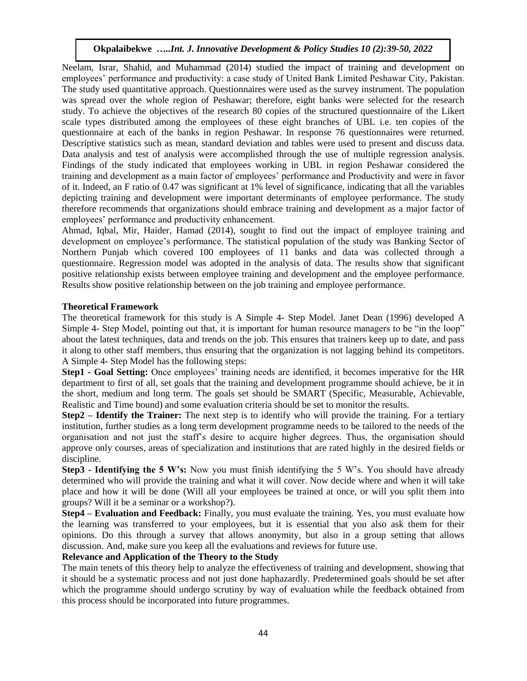Neelam, Israr, Shahid, and Muhammad (2014) studied the impact of training and development on employees' performance and productivity: a case study of United Bank Limited Peshawar City, Pakistan. The study used quantitative approach. Questionnaires were used as the survey instrument. The population was spread over the whole region of Peshawar; therefore, eight banks were selected for the research study. To achieve the objectives of the research 80 copies of the structured questionnaire of the Likert scale types distributed among the employees of these eight branches of UBL i.e. ten copies of the questionnaire at each of the banks in region Peshawar. In response 76 questionnaires were returned. Descriptive statistics such as mean, standard deviation and tables were used to present and discuss data. Data analysis and test of analysis were accomplished through the use of multiple regression analysis. Findings of the study indicated that employees working in UBL in region Peshawar considered the training and development as a main factor of employees' performance and Productivity and were in favor of it. Indeed, an F ratio of 0.47 was significant at 1% level of significance, indicating that all the variables depicting training and development were important determinants of employee performance. The study therefore recommends that organizations should embrace training and development as a major factor of employees' performance and productivity enhancement.

Ahmad, Iqbal, Mir, Haider, Hamad (2014), sought to find out the impact of employee training and development on employee's performance. The statistical population of the study was Banking Sector of Northern Punjab which covered 100 employees of 11 banks and data was collected through a questionnaire. Regression model was adopted in the analysis of data. The results show that significant positive relationship exists between employee training and development and the employee performance. Results show positive relationship between on the job training and employee performance.

## **Theoretical Framework**

The theoretical framework for this study is A Simple 4- Step Model. Janet Dean (1996) developed A Simple 4- Step Model, pointing out that, it is important for human resource managers to be "in the loop" about the latest techniques, data and trends on the job. This ensures that trainers keep up to date, and pass it along to other staff members, thus ensuring that the organization is not lagging behind its competitors. A Simple 4- Step Model has the following steps:

**Step1 - Goal Setting:** Once employees' training needs are identified, it becomes imperative for the HR department to first of all, set goals that the training and development programme should achieve, be it in the short, medium and long term. The goals set should be SMART (Specific, Measurable, Achievable, Realistic and Time bound) and some evaluation criteria should be set to monitor the results.

**Step2 – Identify the Trainer:** The next step is to identify who will provide the training. For a tertiary institution, further studies as a long term development programme needs to be tailored to the needs of the organisation and not just the staff's desire to acquire higher degrees. Thus, the organisation should approve only courses, areas of specialization and institutions that are rated highly in the desired fields or discipline.

**Step3 - Identifying the 5 W's:** Now you must finish identifying the 5 W's. You should have already determined who will provide the training and what it will cover. Now decide where and when it will take place and how it will be done (Will all your employees be trained at once, or will you split them into groups? Will it be a seminar or a workshop?).

**Step4 – Evaluation and Feedback:** Finally, you must evaluate the training. Yes, you must evaluate how the learning was transferred to your employees, but it is essential that you also ask them for their opinions. Do this through a survey that allows anonymity, but also in a group setting that allows discussion. And, make sure you keep all the evaluations and reviews for future use.

## **Relevance and Application of the Theory to the Study**

The main tenets of this theory help to analyze the effectiveness of training and development, showing that it should be a systematic process and not just done haphazardly. Predetermined goals should be set after which the programme should undergo scrutiny by way of evaluation while the feedback obtained from this process should be incorporated into future programmes.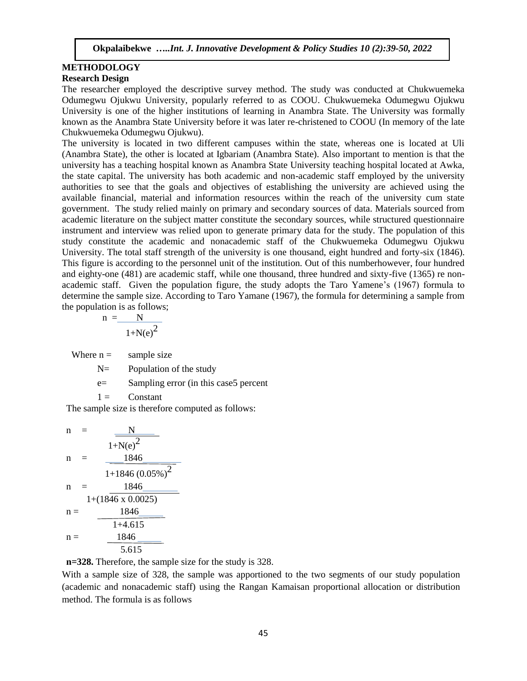#### **METHODOLOGY Research Design**

The researcher employed the descriptive survey method. The study was conducted at Chukwuemeka Odumegwu Ojukwu University, popularly referred to as COOU. Chukwuemeka Odumegwu Ojukwu University is one of the higher institutions of learning in Anambra State. The University was formally known as the Anambra State University before it was later re-christened to COOU (In memory of the late Chukwuemeka Odumegwu Ojukwu).

The university is located in two different campuses within the state, whereas one is located at Uli (Anambra State), the other is located at Igbariam (Anambra State). Also important to mention is that the university has a teaching hospital known as Anambra State University teaching hospital located at Awka, the state capital. The university has both academic and non-academic staff employed by the university authorities to see that the goals and objectives of establishing the university are achieved using the available financial, material and information resources within the reach of the university cum state government. The study relied mainly on primary and secondary sources of data. Materials sourced from academic literature on the subject matter constitute the secondary sources, while structured questionnaire instrument and interview was relied upon to generate primary data for the study. The population of this study constitute the academic and nonacademic staff of the Chukwuemeka Odumegwu Ojukwu University. The total staff strength of the university is one thousand, eight hundred and forty-six (1846). This figure is according to the personnel unit of the institution. Out of this numberhowever, four hundred and eighty-one (481) are academic staff, while one thousand, three hundred and sixty-five (1365) re nonacademic staff. Given the population figure, the study adopts the Taro Yamene's (1967) formula to determine the sample size. According to Taro Yamane (1967), the formula for determining a sample from the population is as follows;

$$
n = \frac{N}{1 + N(e)^2}
$$

Where  $n =$  sample size

N= Population of the study

e= Sampling error (in this case5 percent

 $1 =$  Constant

The sample size is therefore computed as follows:

n = 
$$
\frac{N}{1 + N(e)^{2}}
$$
  
\nn = 
$$
\frac{1846}{1 + 1846 (0.05\%)^{2}}
$$
  
\nn = 
$$
\frac{1846}{1 + (1846 \times 0.0025)}
$$
  
\nn = 
$$
\frac{1846}{1 + 4.615}
$$
  
\nn = 
$$
\frac{1846}{5.615}
$$

**n=328.** Therefore, the sample size for the study is 328.

With a sample size of 328, the sample was apportioned to the two segments of our study population (academic and nonacademic staff) using the Rangan Kamaisan proportional allocation or distribution method. The formula is as follows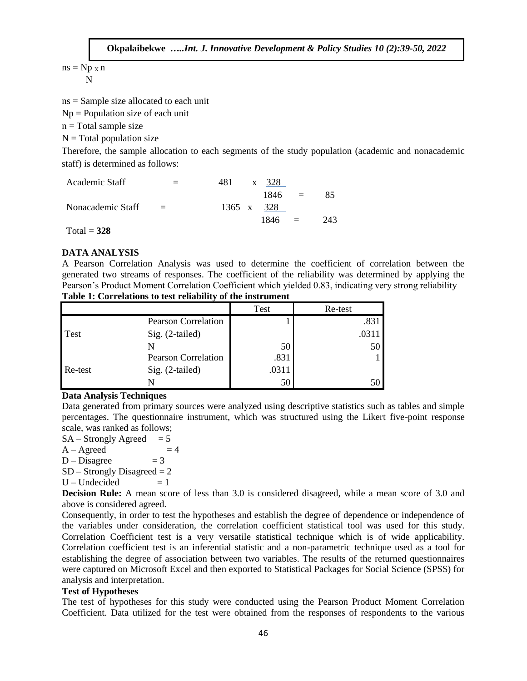$ns = Np \times n$ N

ns = Sample size allocated to each unit

 $Np =$  Population size of each unit

 $n = Total sample size$ 

 $N = Total population size$ 

Therefore, the sample allocation to each segments of the study population (academic and nonacademic staff) is determined as follows:

| Academic Staff                             | $=$                       | 481 | x 328      |          |     |
|--------------------------------------------|---------------------------|-----|------------|----------|-----|
|                                            |                           |     | $1846 =$   |          | 85  |
| Nonacademic Staff                          | $\mathbf{r} = \mathbf{r}$ |     | 1365 x 328 |          |     |
|                                            |                           |     | 1846       | $\equiv$ | 243 |
| $\mathbf{m}$ $\mathbf{1}$<br>$\sim$ $\sim$ |                           |     |            |          |     |

Total = **328**

# **DATA ANALYSIS**

A Pearson Correlation Analysis was used to determine the coefficient of correlation between the generated two streams of responses. The coefficient of the reliability was determined by applying the Pearson's Product Moment Correlation Coefficient which yielded 0.83, indicating very strong reliability

|         |                            | <b>Test</b> | Re-test |
|---------|----------------------------|-------------|---------|
|         | <b>Pearson Correlation</b> |             | .831    |
| Test    | Sig. (2-tailed)            |             | .031    |
|         |                            | 50          | 50      |
|         | <b>Pearson Correlation</b> | .831        |         |
| Re-test | Sig. (2-tailed)            | .0311       |         |
|         |                            | 50          |         |

#### **Table 1: Correlations to test reliability of the instrument**

# **Data Analysis Techniques**

Data generated from primary sources were analyzed using descriptive statistics such as tables and simple percentages. The questionnaire instrument, which was structured using the Likert five-point response scale, was ranked as follows;

 $SA - Strongly \text{Agreed} = 5$  $A - Agreed = 4$  $D - Disagree = 3$  $SD -$  Strongly Disagreed  $= 2$  $U$  – Undecided  $= 1$ 

**Decision Rule:** A mean score of less than 3.0 is considered disagreed, while a mean score of 3.0 and above is considered agreed.

Consequently, in order to test the hypotheses and establish the degree of dependence or independence of the variables under consideration, the correlation coefficient statistical tool was used for this study. Correlation Coefficient test is a very versatile statistical technique which is of wide applicability. Correlation coefficient test is an inferential statistic and a non-parametric technique used as a tool for establishing the degree of association between two variables. The results of the returned questionnaires were captured on Microsoft Excel and then exported to Statistical Packages for Social Science (SPSS) for analysis and interpretation.

#### **Test of Hypotheses**

The test of hypotheses for this study were conducted using the Pearson Product Moment Correlation Coefficient. Data utilized for the test were obtained from the responses of respondents to the various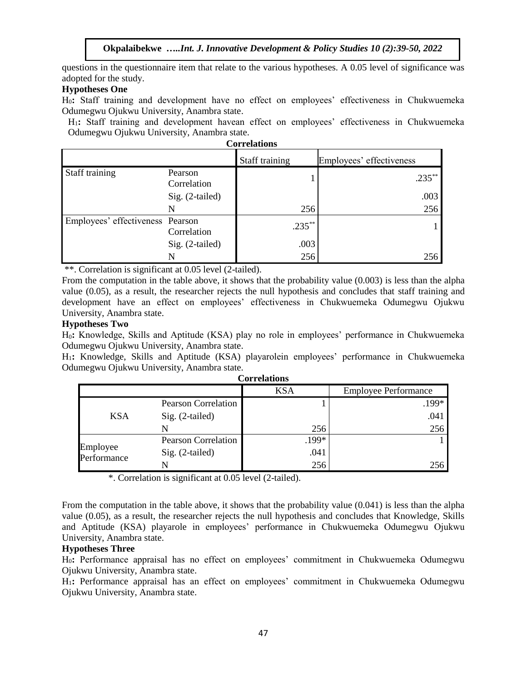questions in the questionnaire item that relate to the various hypotheses. A 0.05 level of significance was adopted for the study.

# **Hypotheses One**

H0**:** Staff training and development have no effect on employees' effectiveness in Chukwuemeka Odumegwu Ojukwu University, Anambra state.

H1**:** Staff training and development havean effect on employees' effectiveness in Chukwuemeka Odumegwu Ojukwu University, Anambra state.

| Correlations                     |                        |                |                          |  |
|----------------------------------|------------------------|----------------|--------------------------|--|
|                                  |                        | Staff training | Employees' effectiveness |  |
| Staff training                   | Pearson<br>Correlation |                | $.235***$                |  |
|                                  | Sig. (2-tailed)        |                | .003                     |  |
|                                  | N                      | 256            | 256                      |  |
| Employees' effectiveness Pearson | Correlation            | $.235***$      |                          |  |
|                                  | Sig. (2-tailed)        | .003           |                          |  |
|                                  |                        | 256            | 256                      |  |

**Correlations**

\*\*. Correlation is significant at 0.05 level (2-tailed).

From the computation in the table above, it shows that the probability value (0.003) is less than the alpha value (0.05), as a result, the researcher rejects the null hypothesis and concludes that staff training and development have an effect on employees' effectiveness in Chukwuemeka Odumegwu Ojukwu University, Anambra state.

#### **Hypotheses Two**

H0**:** Knowledge, Skills and Aptitude (KSA) play no role in employees' performance in Chukwuemeka Odumegwu Ojukwu University, Anambra state.

H1**:** Knowledge, Skills and Aptitude (KSA) playarolein employees' performance in Chukwuemeka Odumegwu Ojukwu University, Anambra state.

|                         |                            | <b>KSA</b> | <b>Employee Performance</b> |  |
|-------------------------|----------------------------|------------|-----------------------------|--|
| <b>KSA</b>              | <b>Pearson Correlation</b> |            | .199*                       |  |
|                         | $Sig. (2-tailed)$          |            | .041                        |  |
|                         |                            | 256        | 256                         |  |
| Employee<br>Performance | <b>Pearson Correlation</b> | .199*      |                             |  |
|                         | $Sig. (2-tailed)$          | .041       |                             |  |
|                         |                            | 256        | 256                         |  |

\*. Correlation is significant at 0.05 level (2-tailed).

From the computation in the table above, it shows that the probability value (0.041) is less than the alpha value (0.05), as a result, the researcher rejects the null hypothesis and concludes that Knowledge, Skills and Aptitude (KSA) playarole in employees' performance in Chukwuemeka Odumegwu Ojukwu University, Anambra state.

# **Hypotheses Three**

H0**:** Performance appraisal has no effect on employees' commitment in Chukwuemeka Odumegwu Ojukwu University, Anambra state.

H1**:** Performance appraisal has an effect on employees' commitment in Chukwuemeka Odumegwu Ojukwu University, Anambra state.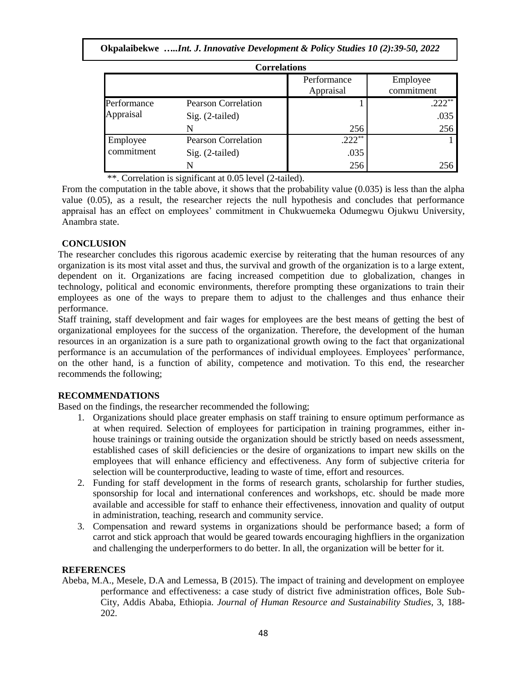|  |  |  | Okpalaibekwe Int. J. Innovative Development & Policy Studies 10 (2):39-50, 2022 |
|--|--|--|---------------------------------------------------------------------------------|
|--|--|--|---------------------------------------------------------------------------------|

| <b>Correlations</b>      |                            |                          |                        |  |
|--------------------------|----------------------------|--------------------------|------------------------|--|
|                          |                            | Performance<br>Appraisal | Employee<br>commitment |  |
| Performance<br>Appraisal | <b>Pearson Correlation</b> |                          | $.222***$              |  |
|                          | $Sig. (2-tailed)$          |                          | .035                   |  |
|                          | N                          | 256                      | 256                    |  |
| Employee                 | <b>Pearson Correlation</b> | $.222***$                |                        |  |
| commitment               | $Sig. (2-tailed)$          | .035                     |                        |  |
|                          |                            | 256                      | 256                    |  |

\*\*. Correlation is significant at 0.05 level (2-tailed).

From the computation in the table above, it shows that the probability value (0.035) is less than the alpha value (0.05), as a result, the researcher rejects the null hypothesis and concludes that performance appraisal has an effect on employees' commitment in Chukwuemeka Odumegwu Ojukwu University, Anambra state.

## **CONCLUSION**

The researcher concludes this rigorous academic exercise by reiterating that the human resources of any organization is its most vital asset and thus, the survival and growth of the organization is to a large extent, dependent on it. Organizations are facing increased competition due to globalization, changes in technology, political and economic environments, therefore prompting these organizations to train their employees as one of the ways to prepare them to adjust to the challenges and thus enhance their performance.

Staff training, staff development and fair wages for employees are the best means of getting the best of organizational employees for the success of the organization. Therefore, the development of the human resources in an organization is a sure path to organizational growth owing to the fact that organizational performance is an accumulation of the performances of individual employees. Employees' performance, on the other hand, is a function of ability, competence and motivation. To this end, the researcher recommends the following;

## **RECOMMENDATIONS**

Based on the findings, the researcher recommended the following;

- 1. Organizations should place greater emphasis on staff training to ensure optimum performance as at when required. Selection of employees for participation in training programmes, either inhouse trainings or training outside the organization should be strictly based on needs assessment, established cases of skill deficiencies or the desire of organizations to impart new skills on the employees that will enhance efficiency and effectiveness. Any form of subjective criteria for selection will be counterproductive, leading to waste of time, effort and resources.
- 2. Funding for staff development in the forms of research grants, scholarship for further studies, sponsorship for local and international conferences and workshops, etc. should be made more available and accessible for staff to enhance their effectiveness, innovation and quality of output in administration, teaching, research and community service.
- 3. Compensation and reward systems in organizations should be performance based; a form of carrot and stick approach that would be geared towards encouraging highfliers in the organization and challenging the underperformers to do better. In all, the organization will be better for it.

## **REFERENCES**

Abeba, M.A., Mesele, D.A and Lemessa, B (2015). The impact of training and development on employee performance and effectiveness: a case study of district five administration offices, Bole Sub-City, Addis Ababa, Ethiopia. *Journal of Human Resource and Sustainability Studies*, 3, 188- 202.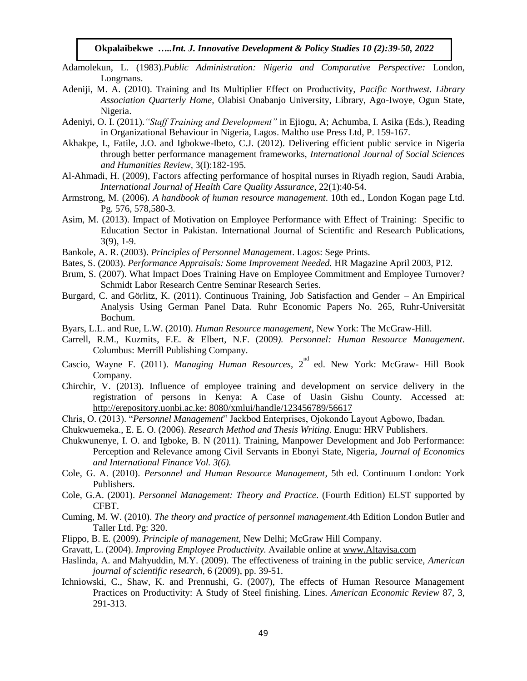- Adamolekun, L. (1983).*Public Administration: Nigeria and Comparative Perspective:* London, Longmans.
- Adeniji, M. A. (2010). Training and Its Multiplier Effect on Productivity, *Pacific Northwest. Library Association Quarterly Home,* Olabisi Onabanjo University, Library, Ago-Iwoye, Ogun State, Nigeria.
- Adeniyi, O. I. (2011).*"Staff Training and Development"* in Ejiogu, A; Achumba, I. Asika (Eds.), Reading in Organizational Behaviour in Nigeria, Lagos. Maltho use Press Ltd, P. 159-167.
- Akhakpe, I., Fatile, J.O. and Igbokwe-Ibeto, C.J. (2012). Delivering efficient public service in Nigeria through better performance management frameworks, *International Journal of Social Sciences and Humanities Review,* 3(I):182-195.
- Al-Ahmadi, H. (2009), Factors affecting performance of hospital nurses in Riyadh region, Saudi Arabia, *International Journal of Health Care Quality Assurance*, 22(1):40-54.
- Armstrong, M. (2006). *A handbook of human resource management*. 10th ed., London Kogan page Ltd. Pg. 576, 578,580-3.
- Asim, M. (2013). Impact of Motivation on Employee Performance with Effect of Training: Specific to Education Sector in Pakistan. International Journal of Scientific and Research Publications, 3(9), 1-9.
- Bankole, A. R. (2003). *Principles of Personnel Management*. Lagos: Sege Prints.
- Bates, S. (2003). *Performance Appraisals: Some Improvement Needed.* HR Magazine April 2003, P12.
- Brum, S. (2007). What Impact Does Training Have on Employee Commitment and Employee Turnover? Schmidt Labor Research Centre Seminar Research Series.
- Burgard, C. and Görlitz, K. (2011). Continuous Training, Job Satisfaction and Gender An Empirical Analysis Using German Panel Data. Ruhr Economic Papers No. 265, Ruhr-Universität Bochum.
- Byars, L.L. and Rue, L.W. (2010). *Human Resource management*, New York: The McGraw-Hill.
- Carrell, R.M., Kuzmits, F.E. & Elbert, N.F. (2009*). Personnel: Human Resource Management*. Columbus: Merrill Publishing Company.
- Cascio, Wayne F. (2011). *Managing Human Resources*, 2<sup>nd</sup> ed. New York: McGraw- Hill Book Company.
- Chirchir, V. (2013). Influence of employee training and development on service delivery in the registration of persons in Kenya: A Case of Uasin Gishu County. Accessed at: http://erepository.uonbi.ac.ke: 8080/xmlui/handle/123456789/56617
- Chris, O. (2013). "*Personnel Management*" Jackbod Enterprises, Ojokondo Layout Agbowo, Ibadan.
- Chukwuemeka., E. E. O. (2006). *Research Method and Thesis Writing*. Enugu: HRV Publishers.
- Chukwunenye, I. O. and Igboke, B. N (2011). Training, Manpower Development and Job Performance: Perception and Relevance among Civil Servants in Ebonyi State, Nigeria, *Journal of Economics and International Finance Vol. 3(6).*
- Cole, G. A. (2010). *Personnel and Human Resource Management*, 5th ed. Continuum London: York Publishers.
- Cole, G.A. (2001). *Personnel Management: Theory and Practice*. (Fourth Edition) ELST supported by CFBT.
- Cuming, M. W. (2010). *The theory and practice of personnel management*.4th Edition London Butler and Taller Ltd. Pg: 320.
- Flippo, B. E. (2009). *Principle of management,* New Delhi; McGraw Hill Company.
- Gravatt, L. (2004). *Improving Employee Productivity.* Available online at [www.Altavisa.com](http://www.altavisa.com/)
- Haslinda, A. and Mahyuddin, M.Y. (2009). The effectiveness of training in the public service, *American journal of scientific research,* 6 (2009), pp. 39-51.
- Ichniowski, C., Shaw, K. and Prennushi, G. (2007), The effects of Human Resource Management Practices on Productivity: A Study of Steel finishing. Lines*. American Economic Review* 87, 3, 291-313.